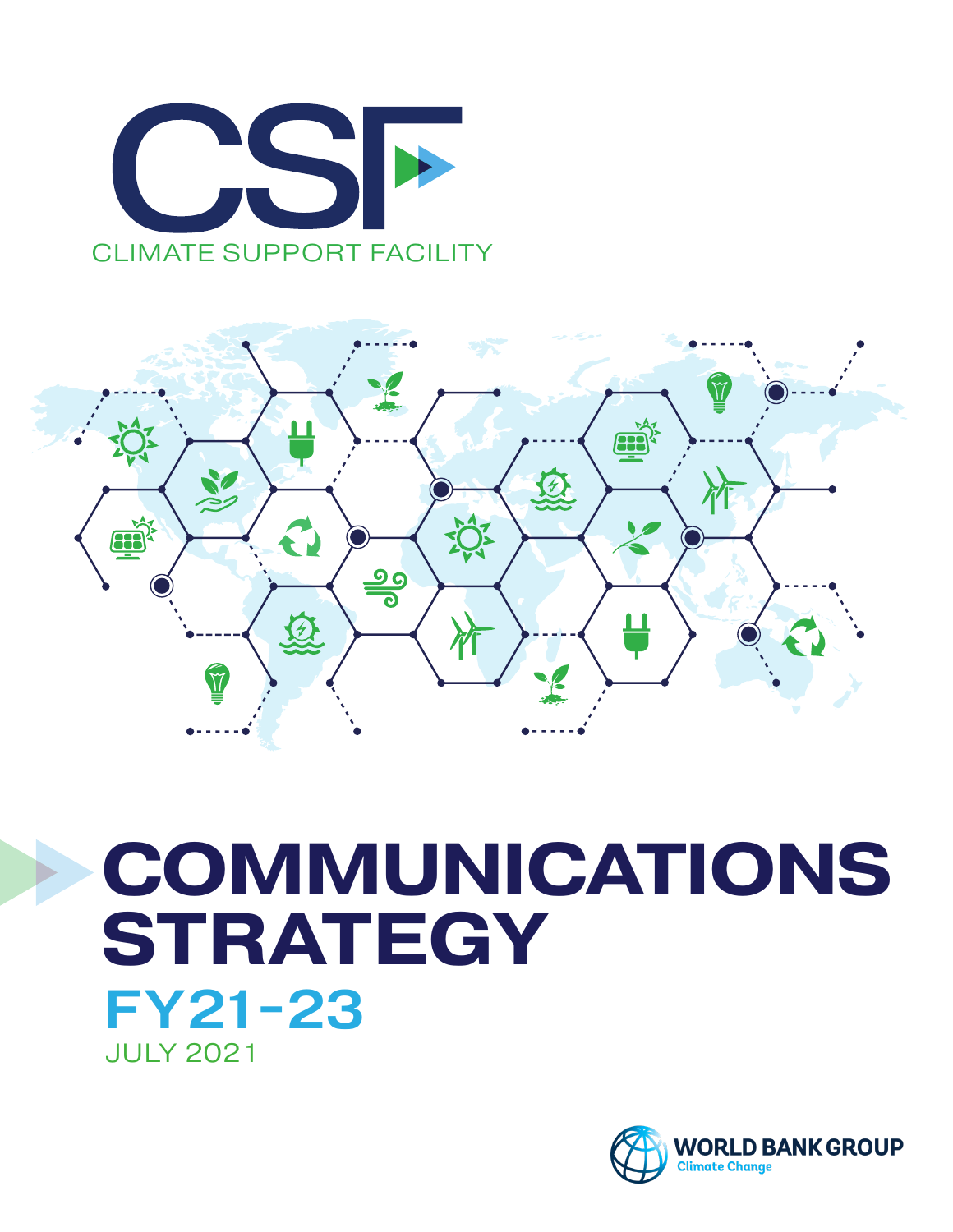



# **COMMUNICATIONS STRATEGY** CLIMATE SUPPORT FACILITY JULY 2021 FY21-23

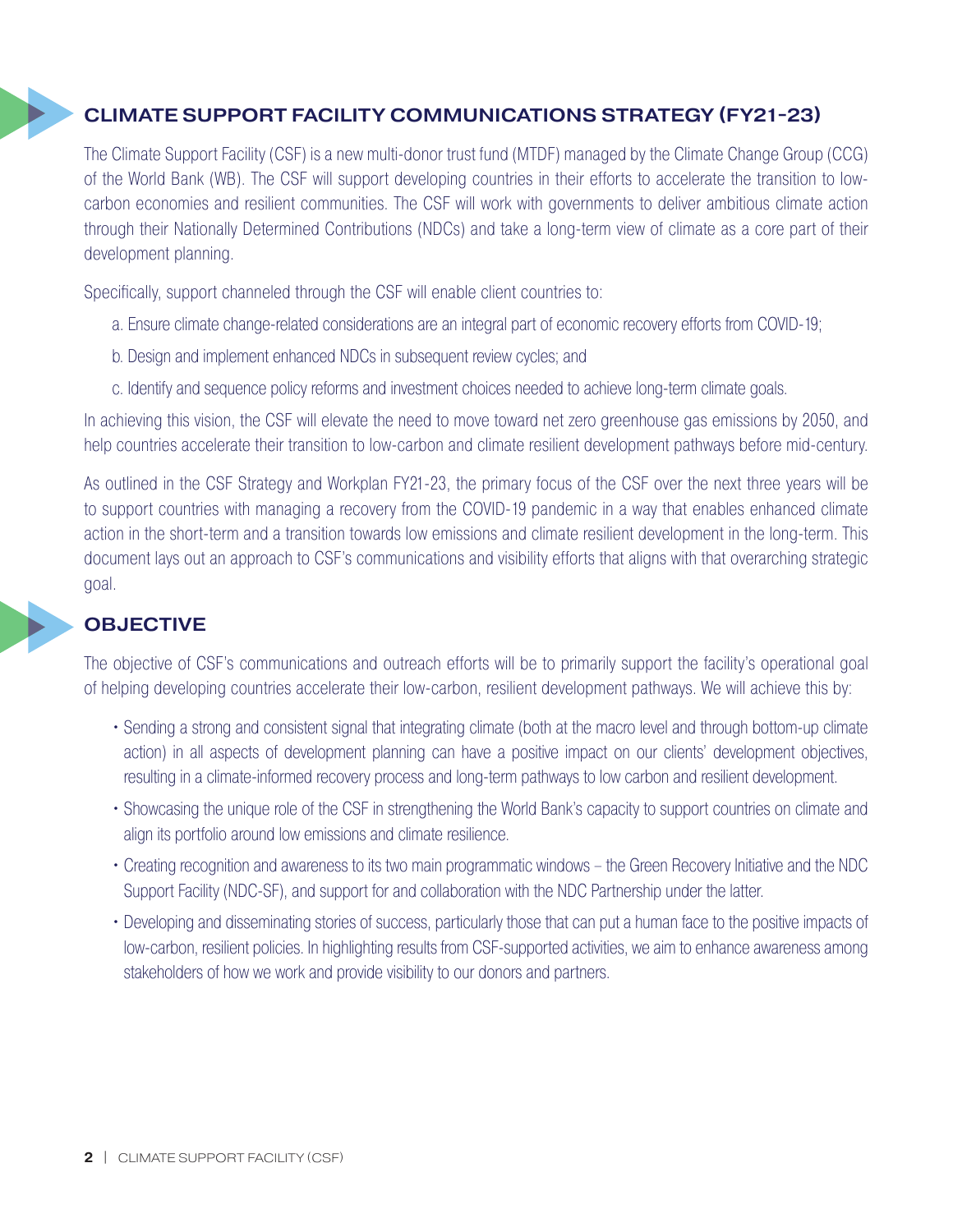## CLIMATE SUPPORT FACILITY COMMUNICATIONS STRATEGY (FY21-23)

The Climate Support Facility (CSF) is a new multi-donor trust fund (MTDF) managed by the Climate Change Group (CCG) of the World Bank (WB). The CSF will support developing countries in their efforts to accelerate the transition to lowcarbon economies and resilient communities. The CSF will work with governments to deliver ambitious climate action through their Nationally Determined Contributions (NDCs) and take a long-term view of climate as a core part of their development planning. cance<br>throu

Specifically, support channeled through the CSF will enable client countries to:

- a. Ensure climate change-related considerations are an integral part of economic recovery efforts from COVID-19;
- b. Design and implement enhanced NDCs in subsequent review cycles; and
- c. Identify and sequence policy reforms and investment choices needed to achieve long-term climate goals.

In achieving this vision, the CSF will elevate the need to move toward net zero greenhouse gas emissions by 2050, and help countries accelerate their transition to low-carbon and climate resilient development pathways before mid-century.

As outlined in the CSF Strategy and Workplan FY21-23, the primary focus of the CSF over the next three years will be to support countries with managing a recovery from the COVID-19 pandemic in a way that enables enhanced climate action in the short-term and a transition towards low emissions and climate resilient development in the long-term. This document lays out an approach to CSF's communications and visibility efforts that aligns with that overarching strategic goal. docui

## **OBJECTIVE**

The objective of CSF's communications and outreach efforts will be to primarily support the facility's operational goal of helping developing countries accelerate their low-carbon, resilient development pathways. We will achieve this by:

- Sending a strong and consistent signal that integrating climate (both at the macro level and through bottom-up climate action) in all aspects of development planning can have a positive impact on our clients' development objectives, resulting in a climate-informed recovery process and long-term pathways to low carbon and resilient development. CLIMATE SUPPORT FACILITY
	- Showcasing the unique role of the CSF in strengthening the World Bank's capacity to support countries on climate and align its portfolio around low emissions and climate resilience.
	- Creating recognition and awareness to its two main programmatic windows the Green Recovery Initiative and the NDC Support Facility (NDC-SF), and support for and collaboration with the NDC Partnership under the latter.
	- Developing and disseminating stories of success, particularly those that can put a human face to the positive impacts of low-carbon, resilient policies. In highlighting results from CSF-supported activities, we aim to enhance awareness among stakeholders of how we work and provide visibility to our donors and partners.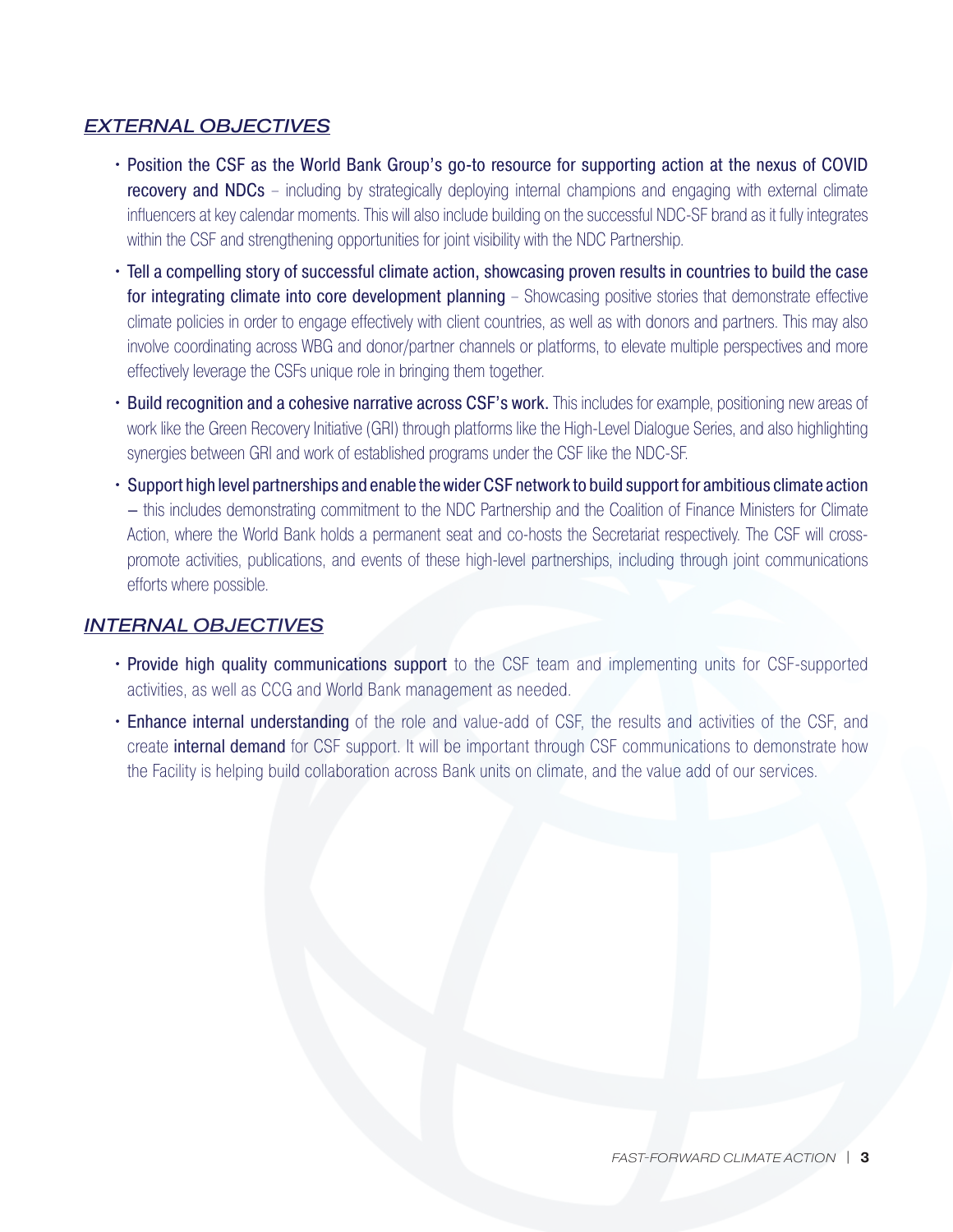#### *EXTERNAL OBJECTIVES*

- Position the CSF as the World Bank Group's go-to resource for supporting action at the nexus of COVID **recovery and NDCs** – including by strategically deploying internal champions and engaging with external climate influencers at key calendar moments. This will also include building on the successful NDC-SF brand as it fully integrates within the CSF and strengthening opportunities for joint visibility with the NDC Partnership.
- Tell a compelling story of successful climate action, showcasing proven results in countries to build the case for integrating climate into core development planning – Showcasing positive stories that demonstrate effective climate policies in order to engage effectively with client countries, as well as with donors and partners. This may also involve coordinating across WBG and donor/partner channels or platforms, to elevate multiple perspectives and more effectively leverage the CSFs unique role in bringing them together.
- Build recognition and a cohesive narrative across CSF's work. This includes for example, positioning new areas of work like the Green Recovery Initiative (GRI) through platforms like the High-Level Dialogue Series, and also highlighting synergies between GRI and work of established programs under the CSF like the NDC-SF.
- Support high level partnerships and enable the wider CSF network to build support for ambitious climate action – this includes demonstrating commitment to the NDC Partnership and the Coalition of Finance Ministers for Climate Action, where the World Bank holds a permanent seat and co-hosts the Secretariat respectively. The CSF will crosspromote activities, publications, and events of these high-level partnerships, including through joint communications efforts where possible.

#### *INTERNAL OBJECTIVES*

- Provide high quality communications support to the CSF team and implementing units for CSF-supported activities, as well as CCG and World Bank management as needed.
- Enhance internal understanding of the role and value-add of CSF, the results and activities of the CSF, and create internal demand for CSF support. It will be important through CSF communications to demonstrate how the Facility is helping build collaboration across Bank units on climate, and the value add of our services.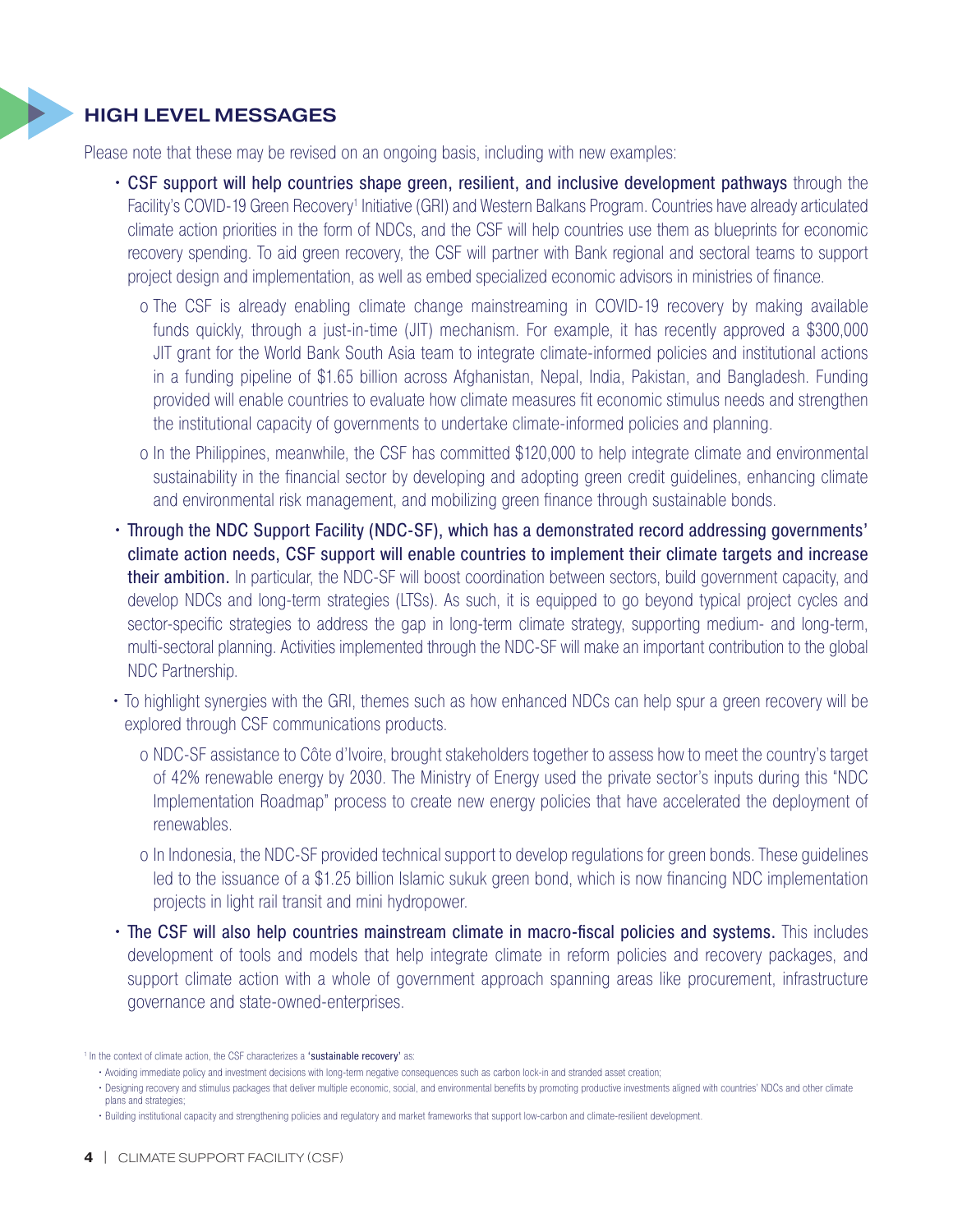### HIGH LEVEL MESSAGES

Please note that these may be revised on an ongoing basis, including with new examples:

- CSF support will help countries shape green, resilient, and inclusive development pathways through the Facility's COVID-19 Green Recovery<sup>1</sup> Initiative (GRI) and Western Balkans Program. Countries have already articulated climate action priorities in the form of NDCs, and the CSF will help countries use them as blueprints for economic recovery spending. To aid green recovery, the CSF will partner with Bank regional and sectoral teams to support project design and implementation, as well as embed specialized economic advisors in ministries of finance.
	- o The CSF is already enabling climate change mainstreaming in COVID-19 recovery by making available funds quickly, through a just-in-time (JIT) mechanism. For example, it has recently approved a \$300,000 JIT grant for the World Bank South Asia team to integrate climate-informed policies and institutional actions in a funding pipeline of \$1.65 billion across Afghanistan, Nepal, India, Pakistan, and Bangladesh. Funding provided will enable countries to evaluate how climate measures fit economic stimulus needs and strengthen the institutional capacity of governments to undertake climate-informed policies and planning.
	- o In the Philippines, meanwhile, the CSF has committed \$120,000 to help integrate climate and environmental sustainability in the financial sector by developing and adopting green credit guidelines, enhancing climate and environmental risk management, and mobilizing green finance through sustainable bonds.
- Through the NDC Support Facility (NDC-SF), which has a demonstrated record addressing governments' climate action needs, CSF support will enable countries to implement their climate targets and increase their ambition. In particular, the NDC-SF will boost coordination between sectors, build government capacity, and develop NDCs and long-term strategies (LTSs). As such, it is equipped to go beyond typical project cycles and sector-specific strategies to address the gap in long-term climate strategy, supporting medium- and long-term, multi-sectoral planning. Activities implemented through the NDC-SF will make an important contribution to the global NDC Partnership.
- To highlight synergies with the GRI, themes such as how enhanced NDCs can help spur a green recovery will be explored through CSF communications products.
	- o NDC-SF assistance to Côte d'Ivoire, brought stakeholders together to assess how to meet the country's target of 42% renewable energy by 2030. The Ministry of Energy used the private sector's inputs during this "NDC Implementation Roadmap" process to create new energy policies that have accelerated the deployment of renewables.
	- o In Indonesia, the NDC-SF provided technical support to develop regulations for green bonds. These guidelines led to the issuance of a \$1.25 billion Islamic sukuk green bond, which is now financing NDC implementation projects in light rail transit and mini hydropower.
- The CSF will also help countries mainstream climate in macro-fiscal policies and systems. This includes development of tools and models that help integrate climate in reform policies and recovery packages, and support climate action with a whole of government approach spanning areas like procurement, infrastructure governance and state-owned-enterprises.

<sup>&</sup>lt;sup>1</sup> In the context of climate action, the CSF characterizes a 'sustainable recovery' as:

<sup>•</sup> Avoiding immediate policy and investment decisions with long-term negative consequences such as carbon lock-in and stranded asset creation;

<sup>•</sup> Designing recovery and stimulus packages that deliver multiple economic, social, and environmental benefits by promoting productive investments aligned with countries' NDCs and other climate plans and strategies;

<sup>•</sup> Building institutional capacity and strengthening policies and regulatory and market frameworks that support low-carbon and climate-resilient development.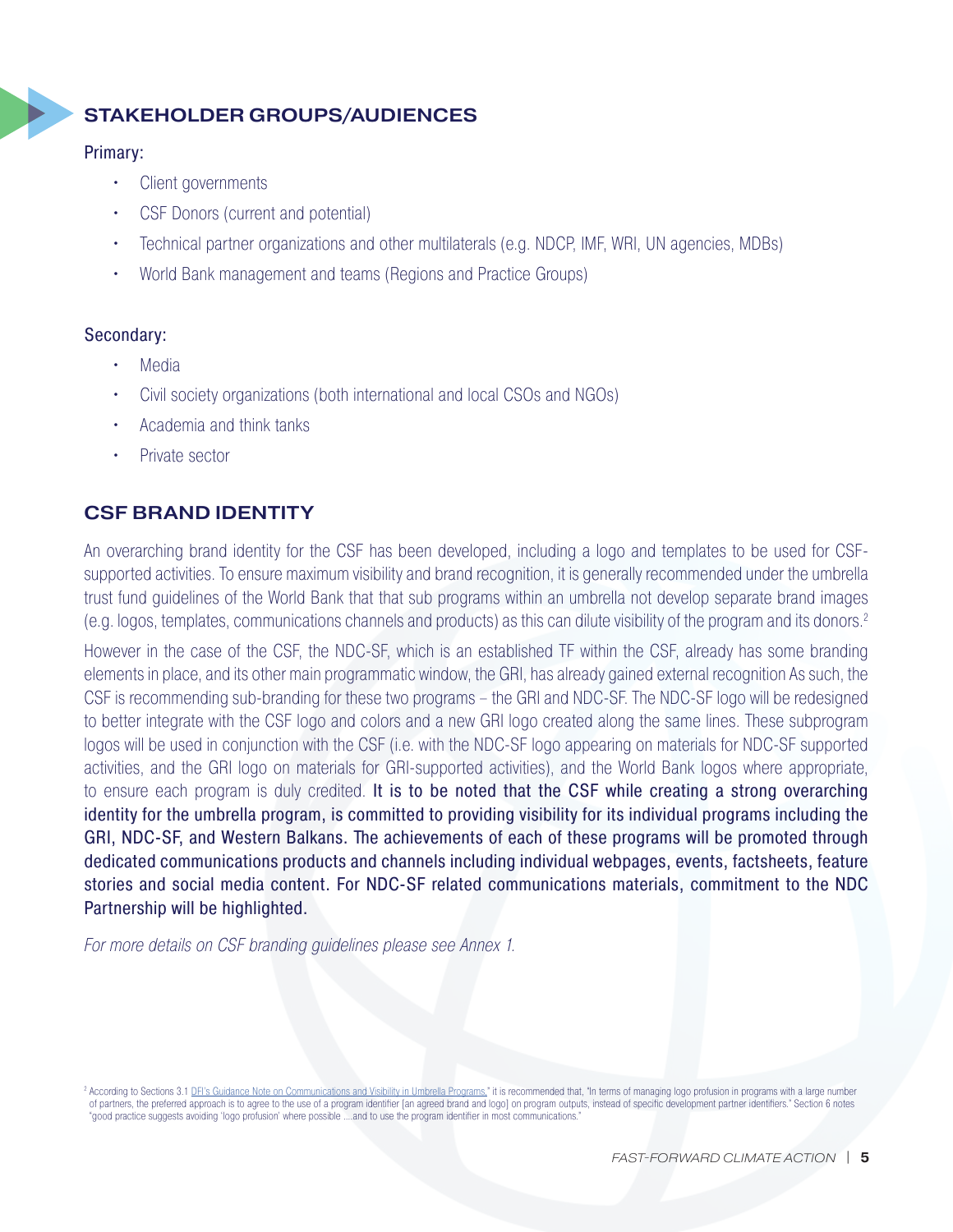## STAKEHOLDER GROUPS/AUDIENCES

#### Primary:

- Client governments
- CSF Donors (current and potential) CLIMATE SUPPORT FACILITY
	- Technical partner organizations and other multilaterals (e.g. NDCP, IMF, WRI, UN agencies, MDBs)
	- World Bank management and teams (Regions and Practice Groups)

#### Secondary:

- Media
- Civil society organizations (both international and local CSOs and NGOs)
- Academia and think tanks
- Private sector

## CSF BRAND IDENTITY

An overarching brand identity for the CSF has been developed, including a logo and templates to be used for CSFsupported activities. To ensure maximum visibility and brand recognition, it is generally recommended under the umbrella trust fund guidelines of the World Bank that that sub programs within an umbrella not develop separate brand images (e.g. logos, templates, communications channels and products) as this can dilute visibility of the program and its donors.2 An ov

> However in the case of the CSF, the NDC-SF, which is an established TF within the CSF, already has some branding elements in place, and its other main programmatic window, the GRI, has already gained external recognition As such, the CSF is recommending sub-branding for these two programs – the GRI and NDC-SF. The NDC-SF logo will be redesigned to better integrate with the CSF logo and colors and a new GRI logo created along the same lines. These subprogram logos will be used in conjunction with the CSF (i.e. with the NDC-SF logo appearing on materials for NDC-SF supported activities, and the GRI logo on materials for GRI-supported activities), and the World Bank logos where appropriate, to ensure each program is duly credited. It is to be noted that the CSF while creating a strong overarching identity for the umbrella program, is committed to providing visibility for its individual programs including the GRI, NDC-SF, and Western Balkans. The achievements of each of these programs will be promoted through dedicated communications products and channels including individual webpages, events, factsheets, feature stories and social media content. For NDC-SF related communications materials, commitment to the NDC Partnership will be highlighted.

*For more details on CSF branding guidelines please see Annex 1.*

<sup>2</sup> According to Sections 3.1 [DFI's Guidance Note on Communications and Visibility in Umbrella Programs,](https://worldbankgroup.sharepoint.com/sites/dfi/Knowledge Base/Guidance Note   Communication and Visibility in Umbrella Programs.pdf)" it is recommended that, "In terms of managing logo profusion in programs with a large number of partners, the preferred approach is to agree to the use of a program identifier [an agreed brand and logo] on program outputs, instead of specific development partner identifiers." Section 6 notes "good practice suggests avoiding 'logo profusion' where possible ….and to use the program identifier in most communications."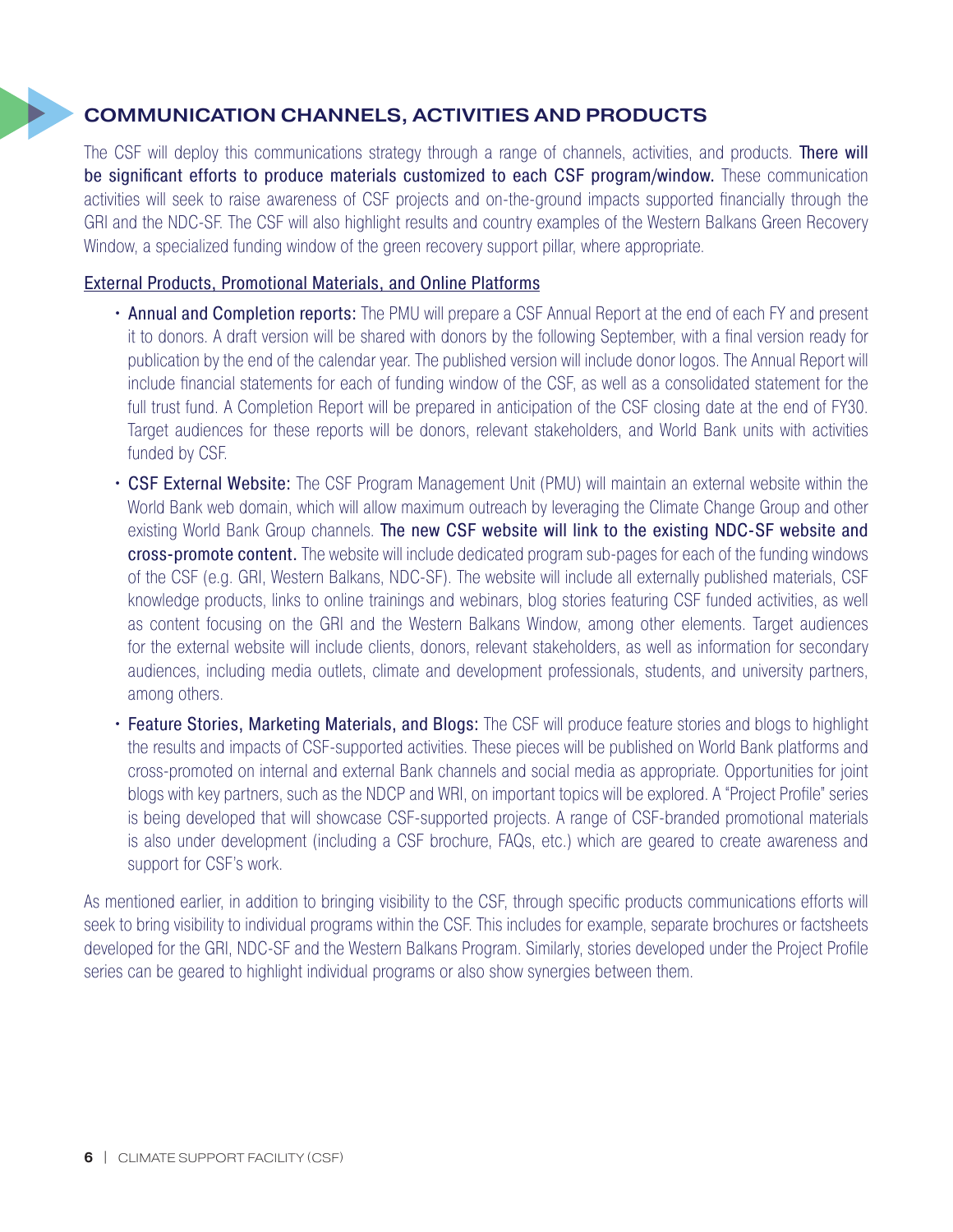## COMMUNICATION CHANNELS, ACTIVITIES AND PRODUCTS

The CSF will deploy this communications strategy through a range of channels, activities, and products. There will be significant efforts to produce materials customized to each CSF program/window. These communication activities will seek to raise awareness of CSF projects and on-the-ground impacts supported financially through the GRI and the NDC-SF. The CSF will also highlight results and country examples of the Western Balkans Green Recovery Window, a specialized funding window of the green recovery support pillar, where appropriate. GRI a

#### External Products, Promotional Materials, and Online Platforms

- Annual and Completion reports: The PMU will prepare a CSF Annual Report at the end of each FY and present it to donors. A draft version will be shared with donors by the following September, with a final version ready for publication by the end of the calendar year. The published version will include donor logos. The Annual Report will include financial statements for each of funding window of the CSF, as well as a consolidated statement for the full trust fund. A Completion Report will be prepared in anticipation of the CSF closing date at the end of FY30. Target audiences for these reports will be donors, relevant stakeholders, and World Bank units with activities funded by CSF.
- CSF External Website: The CSF Program Management Unit (PMU) will maintain an external website within the World Bank web domain, which will allow maximum outreach by leveraging the Climate Change Group and other existing World Bank Group channels. The new CSF website will link to the existing NDC-SF website and cross-promote content. The website will include dedicated program sub-pages for each of the funding windows of the CSF (e.g. GRI, Western Balkans, NDC-SF). The website will include all externally published materials, CSF knowledge products, links to online trainings and webinars, blog stories featuring CSF funded activities, as well as content focusing on the GRI and the Western Balkans Window, among other elements. Target audiences for the external website will include clients, donors, relevant stakeholders, as well as information for secondary audiences, including media outlets, climate and development professionals, students, and university partners, among others.
- Feature Stories, Marketing Materials, and Blogs: The CSF will produce feature stories and blogs to highlight the results and impacts of CSF-supported activities. These pieces will be published on World Bank platforms and cross-promoted on internal and external Bank channels and social media as appropriate. Opportunities for joint blogs with key partners, such as the NDCP and WRI, on important topics will be explored. A "Project Profile" series is being developed that will showcase CSF-supported projects. A range of CSF-branded promotional materials is also under development (including a CSF brochure, FAQs, etc.) which are geared to create awareness and support for CSF's work.

As mentioned earlier, in addition to bringing visibility to the CSF, through specific products communications efforts will seek to bring visibility to individual programs within the CSF. This includes for example, separate brochures or factsheets developed for the GRI, NDC-SF and the Western Balkans Program. Similarly, stories developed under the Project Profile series can be geared to highlight individual programs or also show synergies between them.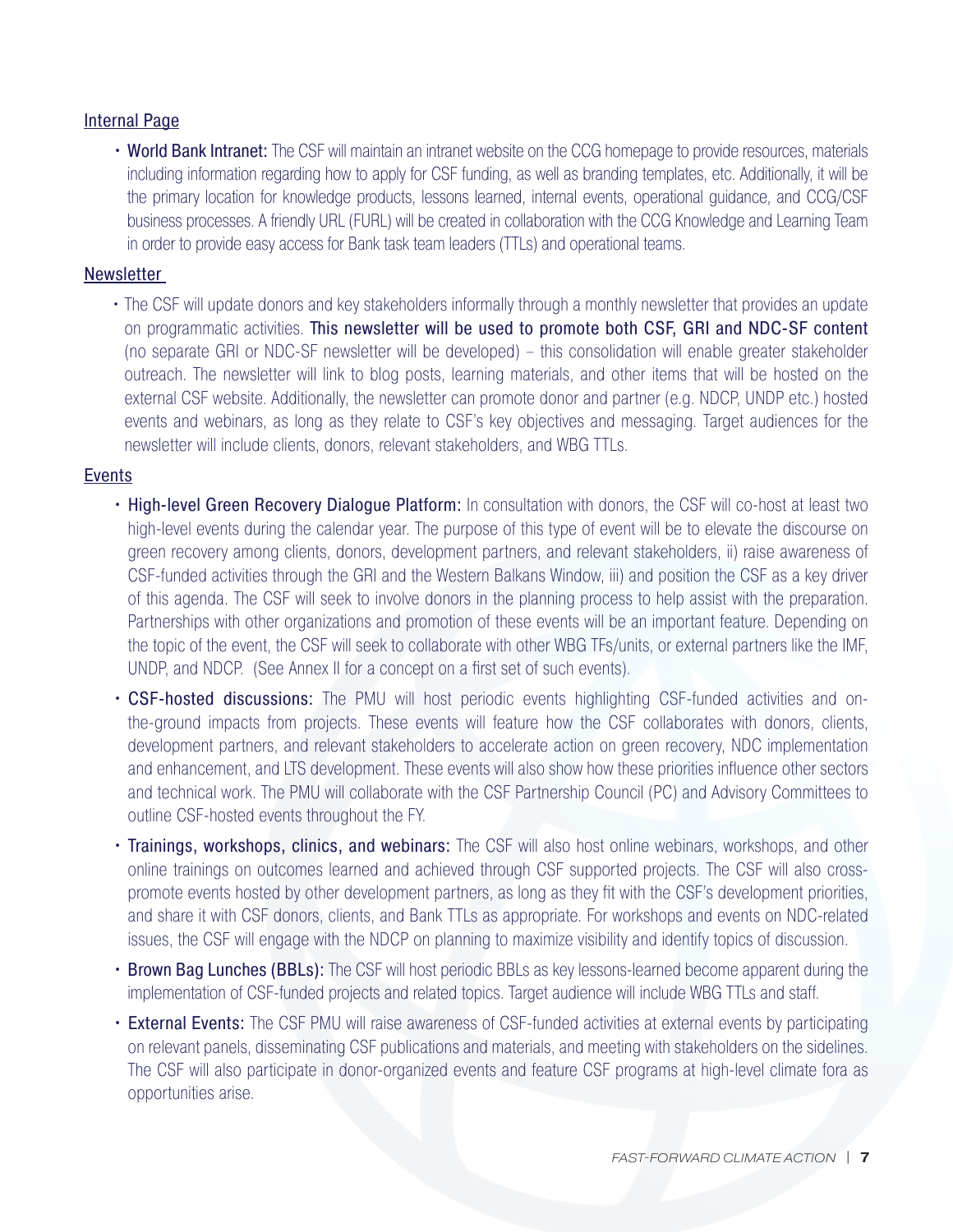#### Internal Page

• World Bank Intranet: The CSF will maintain an intranet website on the CCG homepage to provide resources, materials including information regarding how to apply for CSF funding, as well as branding templates, etc. Additionally, it will be the primary location for knowledge products, lessons learned, internal events, operational guidance, and CCG/CSF business processes. A friendly URL (FURL) will be created in collaboration with the CCG Knowledge and Learning Team in order to provide easy access for Bank task team leaders (TTLs) and operational teams.

#### **Newsletter**

• The CSF will update donors and key stakeholders informally through a monthly newsletter that provides an update on programmatic activities. This newsletter will be used to promote both CSF, GRI and NDC-SF content (no separate GRI or NDC-SF newsletter will be developed) – this consolidation will enable greater stakeholder outreach. The newsletter will link to blog posts, learning materials, and other items that will be hosted on the external CSF website. Additionally, the newsletter can promote donor and partner (e.g. NDCP, UNDP etc.) hosted events and webinars, as long as they relate to CSF's key objectives and messaging. Target audiences for the newsletter will include clients, donors, relevant stakeholders, and WBG TTLs.

#### Events

- High-level Green Recovery Dialogue Platform: In consultation with donors, the CSF will co-host at least two high-level events during the calendar year. The purpose of this type of event will be to elevate the discourse on green recovery among clients, donors, development partners, and relevant stakeholders, ii) raise awareness of CSF-funded activities through the GRI and the Western Balkans Window, iii) and position the CSF as a key driver of this agenda. The CSF will seek to involve donors in the planning process to help assist with the preparation. Partnerships with other organizations and promotion of these events will be an important feature. Depending on the topic of the event, the CSF will seek to collaborate with other WBG TFs/units, or external partners like the IMF, UNDP, and NDCP. (See Annex II for a concept on a first set of such events).
- CSF-hosted discussions: The PMU will host periodic events highlighting CSF-funded activities and onthe-ground impacts from projects. These events will feature how the CSF collaborates with donors, clients, development partners, and relevant stakeholders to accelerate action on green recovery, NDC implementation and enhancement, and LTS development. These events will also show how these priorities influence other sectors and technical work. The PMU will collaborate with the CSF Partnership Council (PC) and Advisory Committees to outline CSF-hosted events throughout the FY.
- Trainings, workshops, clinics, and webinars: The CSF will also host online webinars, workshops, and other online trainings on outcomes learned and achieved through CSF supported projects. The CSF will also crosspromote events hosted by other development partners, as long as they fit with the CSF's development priorities, and share it with CSF donors, clients, and Bank TTLs as appropriate. For workshops and events on NDC-related issues, the CSF will engage with the NDCP on planning to maximize visibility and identify topics of discussion.
- Brown Bag Lunches (BBLs): The CSF will host periodic BBLs as key lessons-learned become apparent during the implementation of CSF-funded projects and related topics. Target audience will include WBG TTLs and staff.
- External Events: The CSF PMU will raise awareness of CSF-funded activities at external events by participating on relevant panels, disseminating CSF publications and materials, and meeting with stakeholders on the sidelines. The CSF will also participate in donor-organized events and feature CSF programs at high-level climate fora as opportunities arise.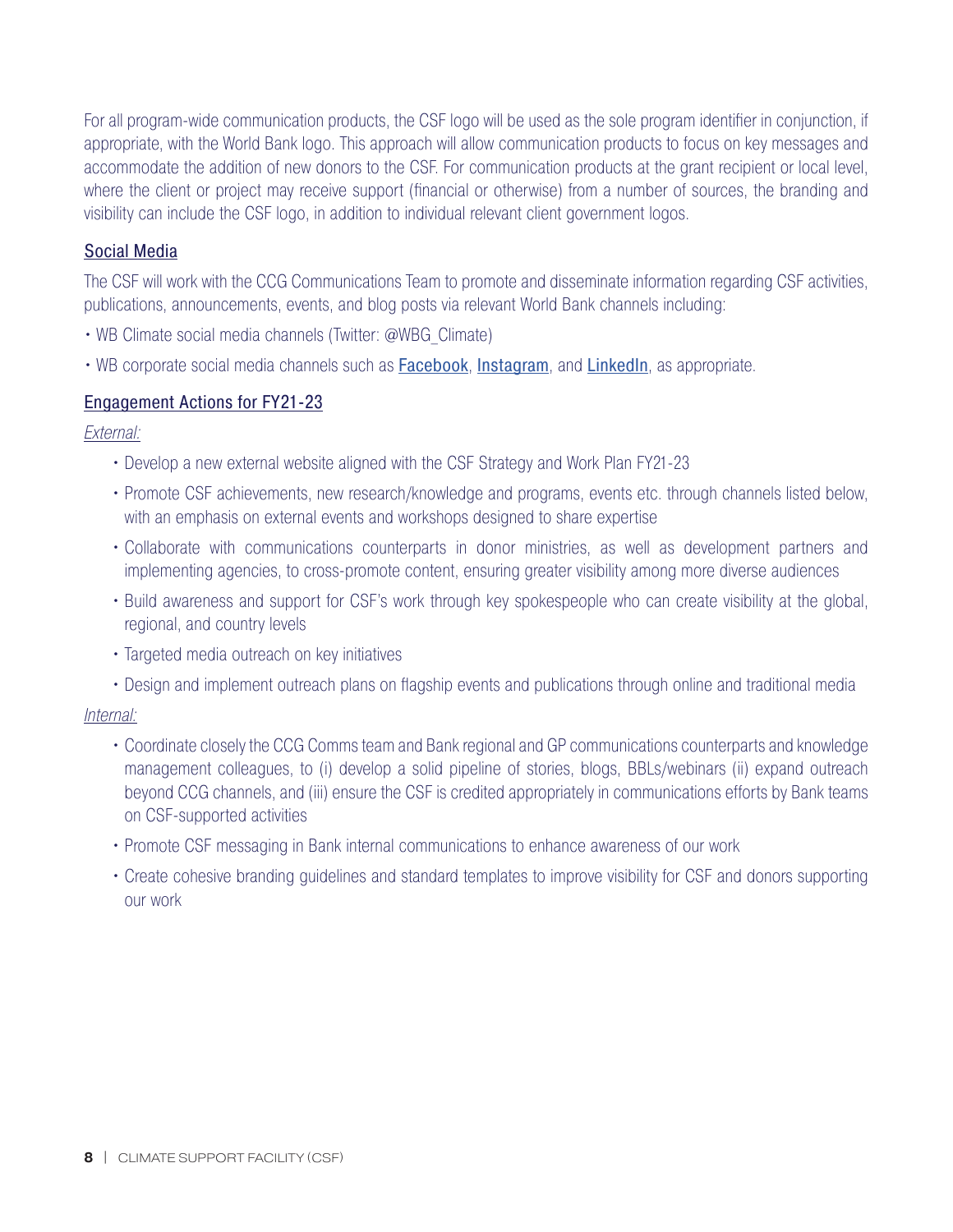For all program-wide communication products, the CSF logo will be used as the sole program identifier in conjunction, if appropriate, with the World Bank logo. This approach will allow communication products to focus on key messages and accommodate the addition of new donors to the CSF. For communication products at the grant recipient or local level, where the client or project may receive support (financial or otherwise) from a number of sources, the branding and visibility can include the CSF logo, in addition to individual relevant client government logos.

#### Social Media

The CSF will work with the CCG Communications Team to promote and disseminate information regarding CSF activities, publications, announcements, events, and blog posts via relevant World Bank channels including:

- WB Climate social media channels (Twitter: @WBG Climate)
- WB corporate social media channels such as **[Facebook](https://www.facebook.com/worldbank)**, *[Instagram](https://www.instagram.com/worldbank/)*, and *[LinkedIn](https://www.linkedin.com/company/the-world-bank/)*, as appropriate.

### Engagement Actions for FY21-23

*External:*

- Develop a new external website aligned with the CSF Strategy and Work Plan FY21-23
- Promote CSF achievements, new research/knowledge and programs, events etc. through channels listed below, with an emphasis on external events and workshops designed to share expertise
- Collaborate with communications counterparts in donor ministries, as well as development partners and implementing agencies, to cross-promote content, ensuring greater visibility among more diverse audiences
- Build awareness and support for CSF's work through key spokespeople who can create visibility at the global, regional, and country levels
- Targeted media outreach on key initiatives
- Design and implement outreach plans on flagship events and publications through online and traditional media

#### *Internal:*

- Coordinate closely the CCG Comms team and Bank regional and GP communications counterparts and knowledge management colleagues, to (i) develop a solid pipeline of stories, blogs, BBLs/webinars (ii) expand outreach beyond CCG channels, and (iii) ensure the CSF is credited appropriately in communications efforts by Bank teams on CSF-supported activities
- Promote CSF messaging in Bank internal communications to enhance awareness of our work
- Create cohesive branding guidelines and standard templates to improve visibility for CSF and donors supporting our work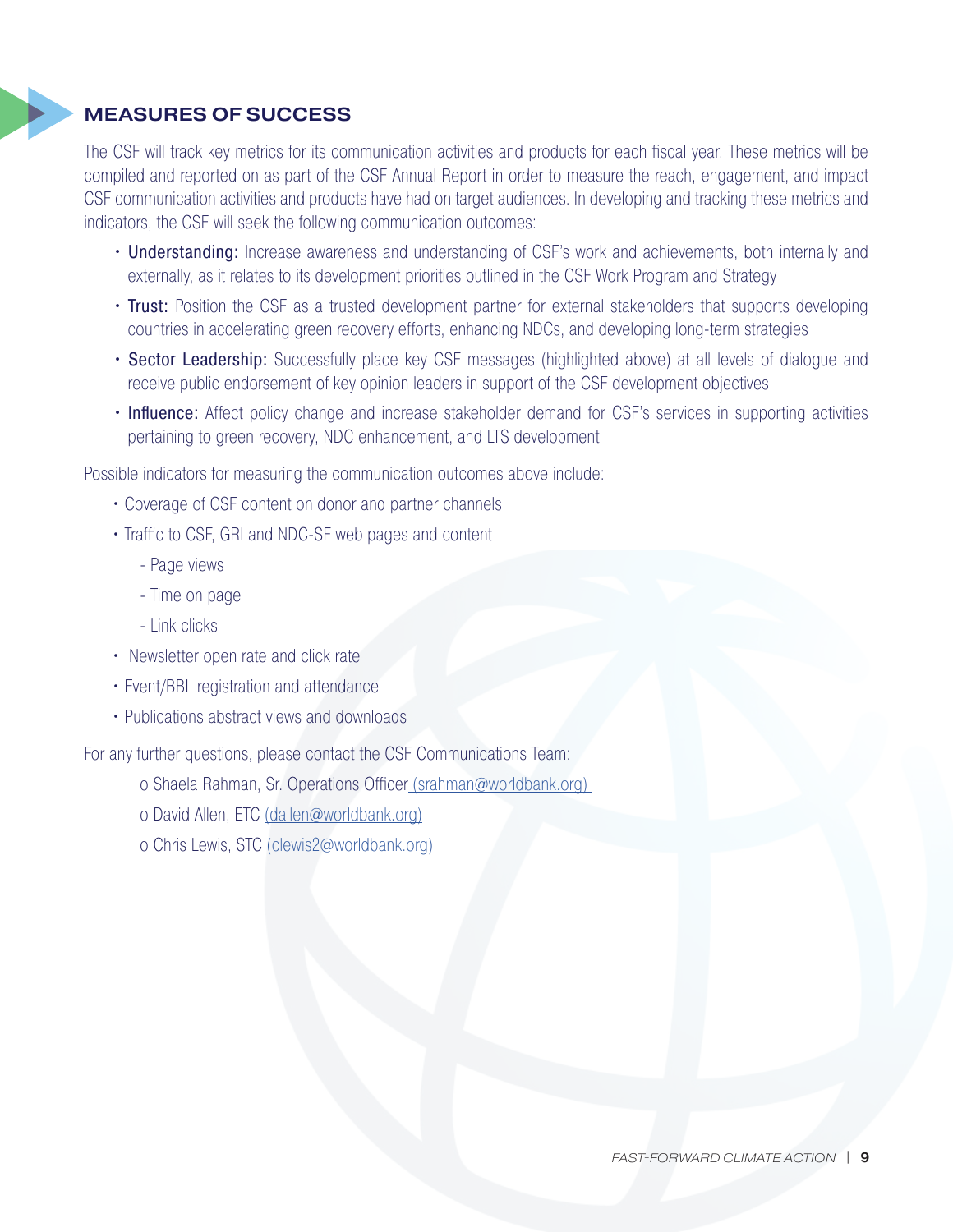## MEASURES OF SUCCESS

The CSF will track key metrics for its communication activities and products for each fiscal year. These metrics will be compiled and reported on as part of the CSF Annual Report in order to measure the reach, engagement, and impact CSF communication activities and products have had on target audiences. In developing and tracking these metrics and indicators, the CSF will seek the following communication outcomes: indica

- Understanding: Increase awareness and understanding of CSF's work and achievements, both internally and externally, as it relates to its development priorities outlined in the CSF Work Program and Strategy
- Trust: Position the CSF as a trusted development partner for external stakeholders that supports developing countries in accelerating green recovery efforts, enhancing NDCs, and developing long-term strategies
- Sector Leadership: Successfully place key CSF messages (highlighted above) at all levels of dialogue and receive public endorsement of key opinion leaders in support of the CSF development objectives
- Influence: Affect policy change and increase stakeholder demand for CSF's services in supporting activities pertaining to green recovery, NDC enhancement, and LTS development

Possible indicators for measuring the communication outcomes above include:

- Coverage of CSF content on donor and partner channels
- Traffic to CSF, GRI and NDC-SF web pages and content
	- Page views
	- Time on page
	- Link clicks
- Newsletter open rate and click rate
- Event/BBL registration and attendance
- Publications abstract views and downloads

For any further questions, please contact the CSF Communications Team:

- o Shaela Rahman, Sr. Operations Officer [\(srahman@worldbank.org\)](mailto:%20%28srahman%40worldbank.org%29%20?subject=)
- o David Allen, ETC [\(dallen@worldbank.org\)](mailto:%28dallen%40worldbank.org%29?subject=)
- o Chris Lewis, STC [\(clewis2@worldbank.org\)](mailto:%28clewis2%40worldbank.org%29?subject=)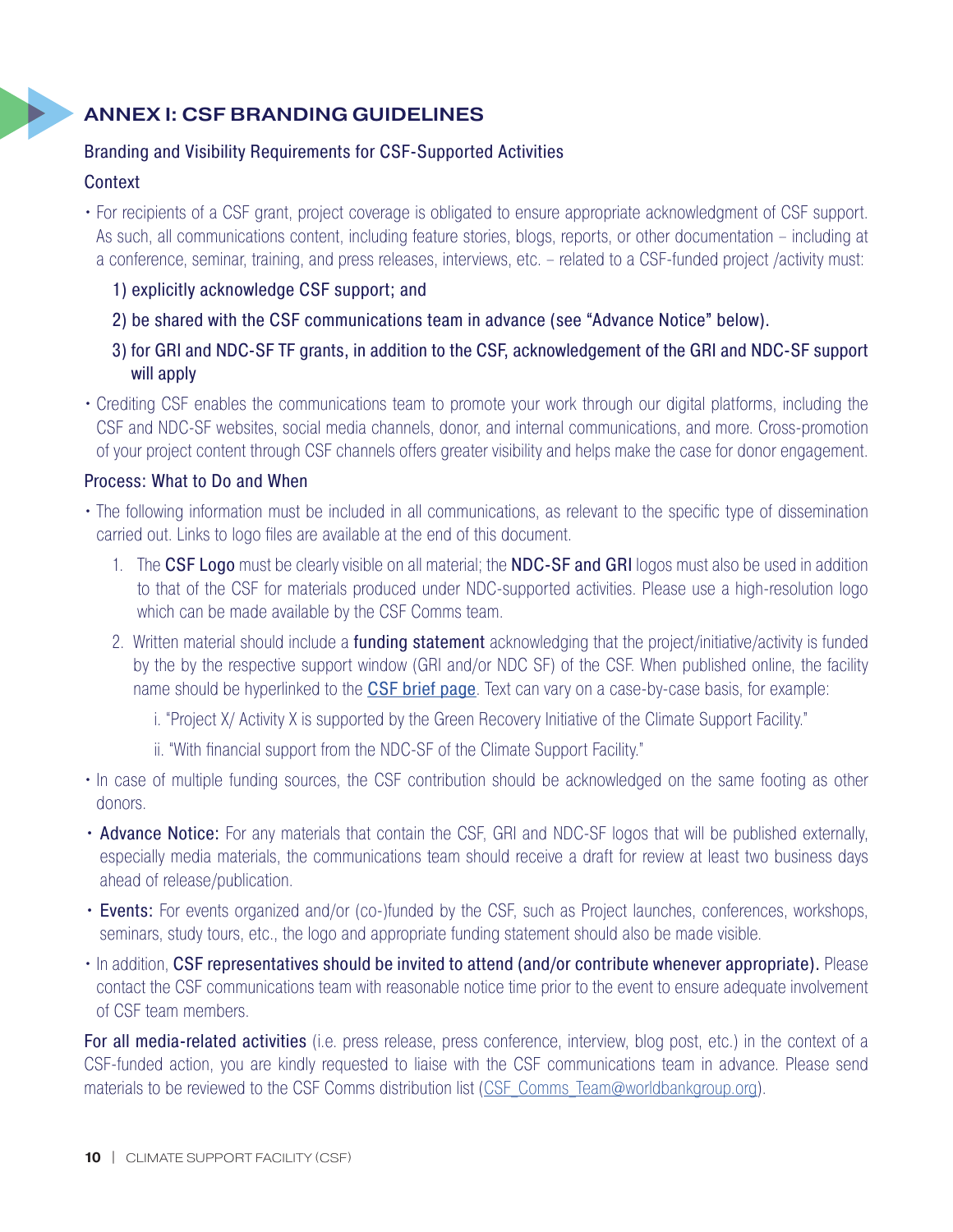## ANNEX I: CSF BRANDING GUIDELINES

#### Branding and Visibility Requirements for CSF-Supported Activities

#### **Context**

• For recipients of a CSF grant, project coverage is obligated to ensure appropriate acknowledgment of CSF support. As such, all communications content, including feature stories, blogs, reports, or other documentation – including at a conference, seminar, training, and press releases, interviews, etc. – related to a CSF-funded project /activity must: r For<br>As

- 1) explicitly acknowledge CSF support; and
- 2) be shared with the CSF communications team in advance (see "Advance Notice" below).
- 3) for GRI and NDC-SF TF grants, in addition to the CSF, acknowledgement of the GRI and NDC-SF support will apply
- Crediting CSF enables the communications team to promote your work through our digital platforms, including the CSF and NDC-SF websites, social media channels, donor, and internal communications, and more. Cross-promotion of your project content through CSF channels offers greater visibility and helps make the case for donor engagement.

#### Process: What to Do and When

- The following information must be included in all communications, as relevant to the specific type of dissemination carried out. Links to logo files are available at the end of this document.  $\frac{1}{1}$ 
	- 1. The CSF Logo must be clearly visible on all material; the NDC-SF and GRI logos must also be used in addition to that of the CSF for materials produced under NDC-supported activities. Please use a high-resolution logo which can be made available by the CSF Comms team.
	- 2. Written material should include a funding statement acknowledging that the project/initiative/activity is funded by the by the respective support window (GRI and/or NDC SF) of the CSF. When published online, the facility name should be hyperlinked to the **[CSF brief page](https://www.worldbank.org/en/topic/climatechange/brief/the-climate-support-facility)**. Text can vary on a case-by-case basis, for example:
		- i. "Project X/ Activity X is supported by the Green Recovery Initiative of the Climate Support Facility."
		- ii. "With financial support from the NDC-SF of the Climate Support Facility."
	- In case of multiple funding sources, the CSF contribution should be acknowledged on the same footing as other donors.
	- Advance Notice: For any materials that contain the CSF, GRI and NDC-SF logos that will be published externally, especially media materials, the communications team should receive a draft for review at least two business days ahead of release/publication.
	- Events: For events organized and/or (co-)funded by the CSF, such as Project launches, conferences, workshops, seminars, study tours, etc., the logo and appropriate funding statement should also be made visible.
	- In addition, CSF representatives should be invited to attend (and/or contribute whenever appropriate). Please contact the CSF communications team with reasonable notice time prior to the event to ensure adequate involvement of CSF team members.

For all media-related activities (i.e. press release, press conference, interview, blog post, etc.) in the context of a CSF-funded action, you are kindly requested to liaise with the CSF communications team in advance. Please send materials to be reviewed to the CSF Comms distribution list (CSF Comms Team@worldbankgroup.org).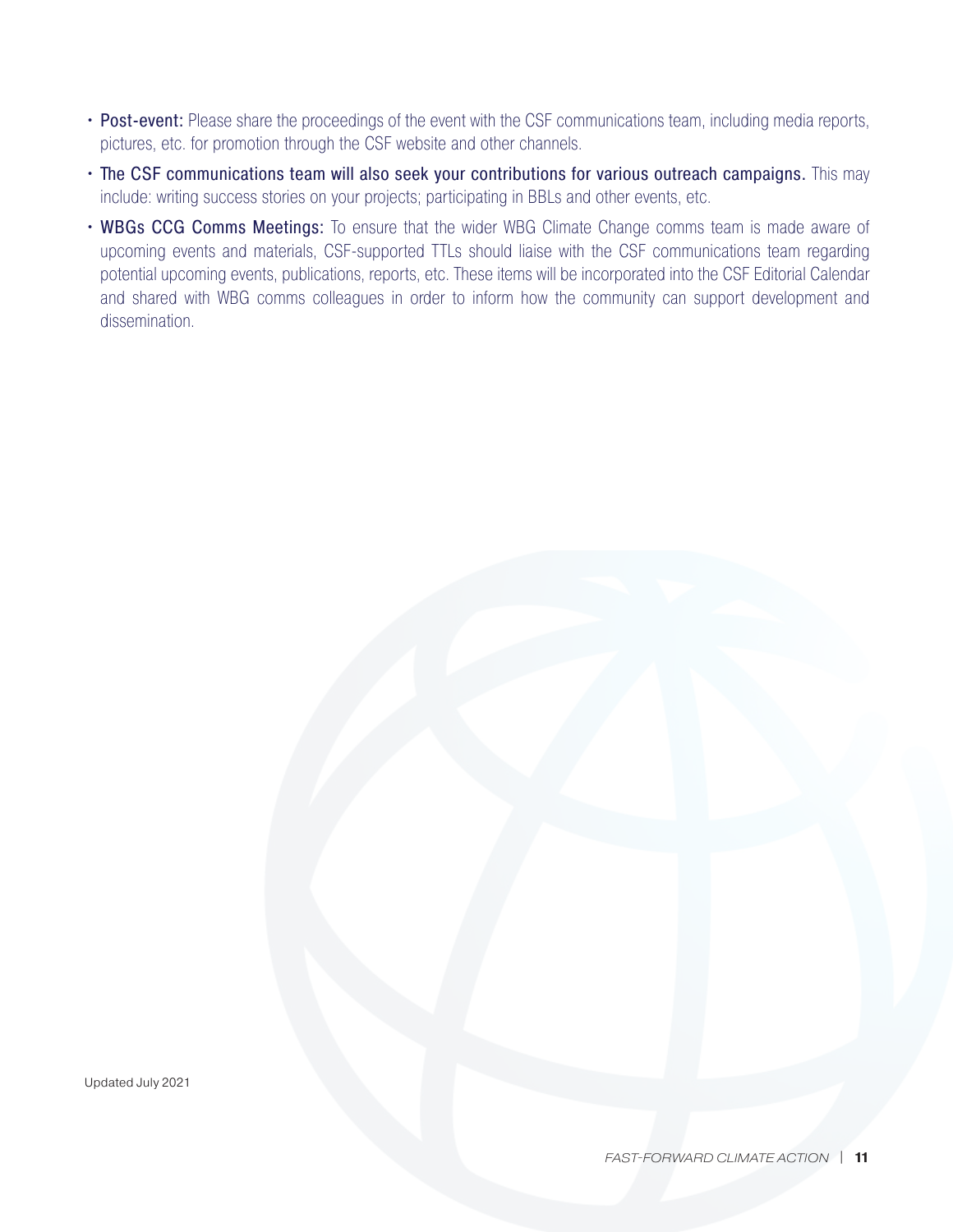- Post-event: Please share the proceedings of the event with the CSF communications team, including media reports, pictures, etc. for promotion through the CSF website and other channels.
- The CSF communications team will also seek your contributions for various outreach campaigns. This may include: writing success stories on your projects; participating in BBLs and other events, etc.
- WBGs CCG Comms Meetings: To ensure that the wider WBG Climate Change comms team is made aware of upcoming events and materials, CSF-supported TTLs should liaise with the CSF communications team regarding potential upcoming events, publications, reports, etc. These items will be incorporated into the CSF Editorial Calendar and shared with WBG comms colleagues in order to inform how the community can support development and dissemination.

Updated July 2021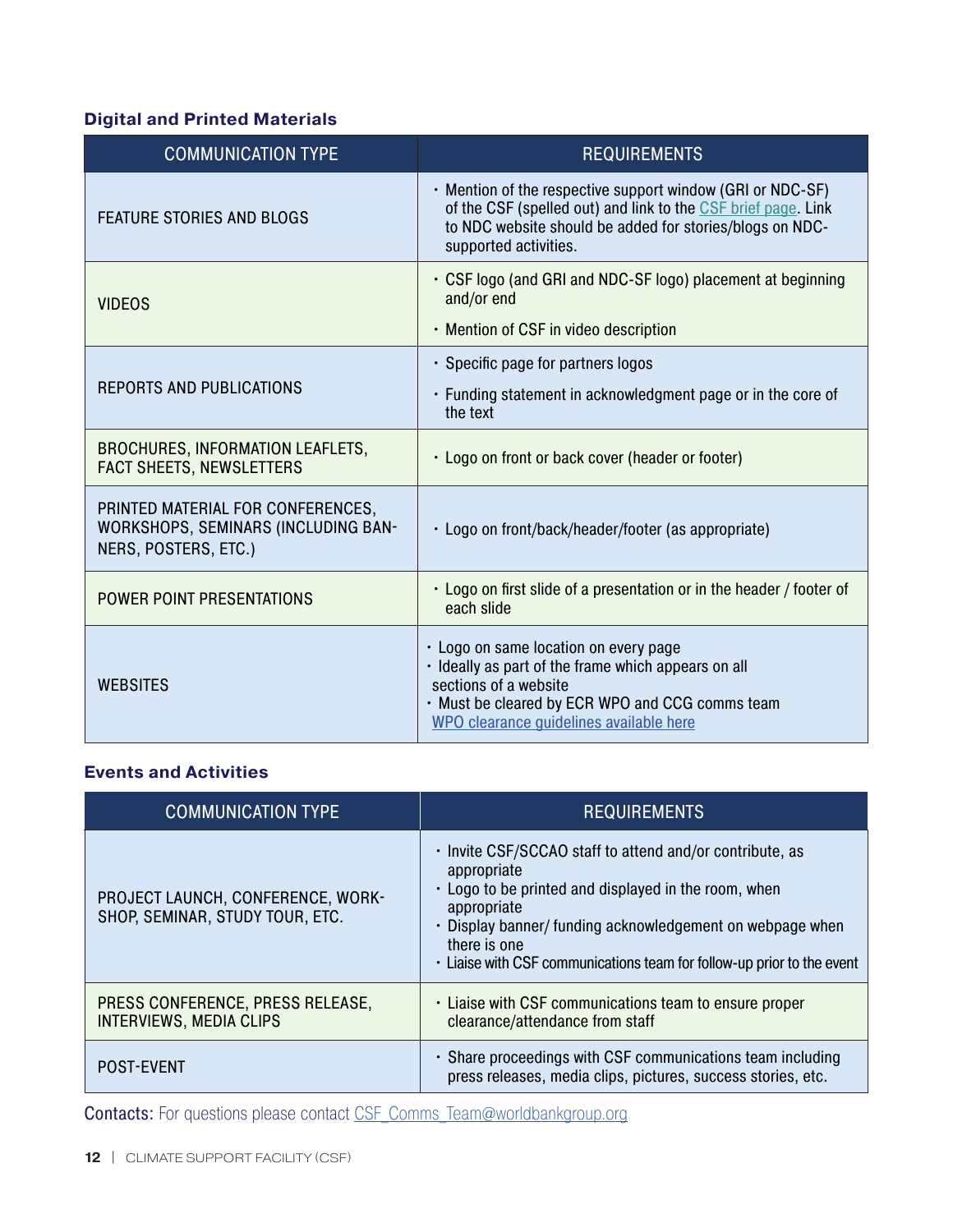### **Digital and Printed Materials**

| <b>COMMUNICATION TYPE</b>                                                                               | <b>REQUIREMENTS</b>                                                                                                                                                                                                 |
|---------------------------------------------------------------------------------------------------------|---------------------------------------------------------------------------------------------------------------------------------------------------------------------------------------------------------------------|
| <b>FEATURE STORIES AND BLOGS</b>                                                                        | . Mention of the respective support window (GRI or NDC-SF)<br>of the CSF (spelled out) and link to the CSF brief page. Link<br>to NDC website should be added for stories/blogs on NDC-<br>supported activities.    |
| <b>VIDEOS</b>                                                                                           | • CSF logo (and GRI and NDC-SF logo) placement at beginning<br>and/or end<br>• Mention of CSF in video description                                                                                                  |
| <b>REPORTS AND PUBLICATIONS</b>                                                                         | • Specific page for partners logos                                                                                                                                                                                  |
|                                                                                                         | • Funding statement in acknowledgment page or in the core of<br>the text                                                                                                                                            |
| <b>BROCHURES, INFORMATION LEAFLETS,</b><br><b>FACT SHEETS, NEWSLETTERS</b>                              | · Logo on front or back cover (header or footer)                                                                                                                                                                    |
| PRINTED MATERIAL FOR CONFERENCES,<br><b>WORKSHOPS, SEMINARS (INCLUDING BAN-</b><br>NERS, POSTERS, ETC.) | • Logo on front/back/header/footer (as appropriate)                                                                                                                                                                 |
| <b>POWER POINT PRESENTATIONS</b>                                                                        | • Logo on first slide of a presentation or in the header / footer of<br>each slide                                                                                                                                  |
| <b>WEBSITES</b>                                                                                         | · Logo on same location on every page<br>· Ideally as part of the frame which appears on all<br>sections of a website<br>. Must be cleared by ECR WPO and CCG comms team<br>WPO clearance guidelines available here |

#### **Events and Activities**

| <b>COMMUNICATION TYPE</b>                                                   | <b>REQUIREMENTS</b>                                                                                                                                                                                                                                                                                   |
|-----------------------------------------------------------------------------|-------------------------------------------------------------------------------------------------------------------------------------------------------------------------------------------------------------------------------------------------------------------------------------------------------|
| <b>PROJECT LAUNCH, CONFERENCE, WORK-</b><br>SHOP, SEMINAR, STUDY TOUR, ETC. | . Invite CSF/SCCAO staff to attend and/or contribute, as<br>appropriate<br>• Logo to be printed and displayed in the room, when<br>appropriate<br>• Display banner/ funding acknowledgement on webpage when<br>there is one<br>. Liaise with CSF communications team for follow-up prior to the event |
| PRESS CONFERENCE, PRESS RELEASE,<br><b>INTERVIEWS, MEDIA CLIPS</b>          | . Liaise with CSF communications team to ensure proper<br>clearance/attendance from staff                                                                                                                                                                                                             |
| <b>POST-EVENT</b>                                                           | • Share proceedings with CSF communications team including<br>press releases, media clips, pictures, success stories, etc.                                                                                                                                                                            |

Contacts: For questions please contact [CSF\\_Comms\\_Team@worldbankgroup.org](file:///C:/Users/wb510139/AppData/Local/Microsoft/Windows/INetCache/Content.Outlook/TI8CYFED/CSF_Comms_Team@worldbankgroup.org)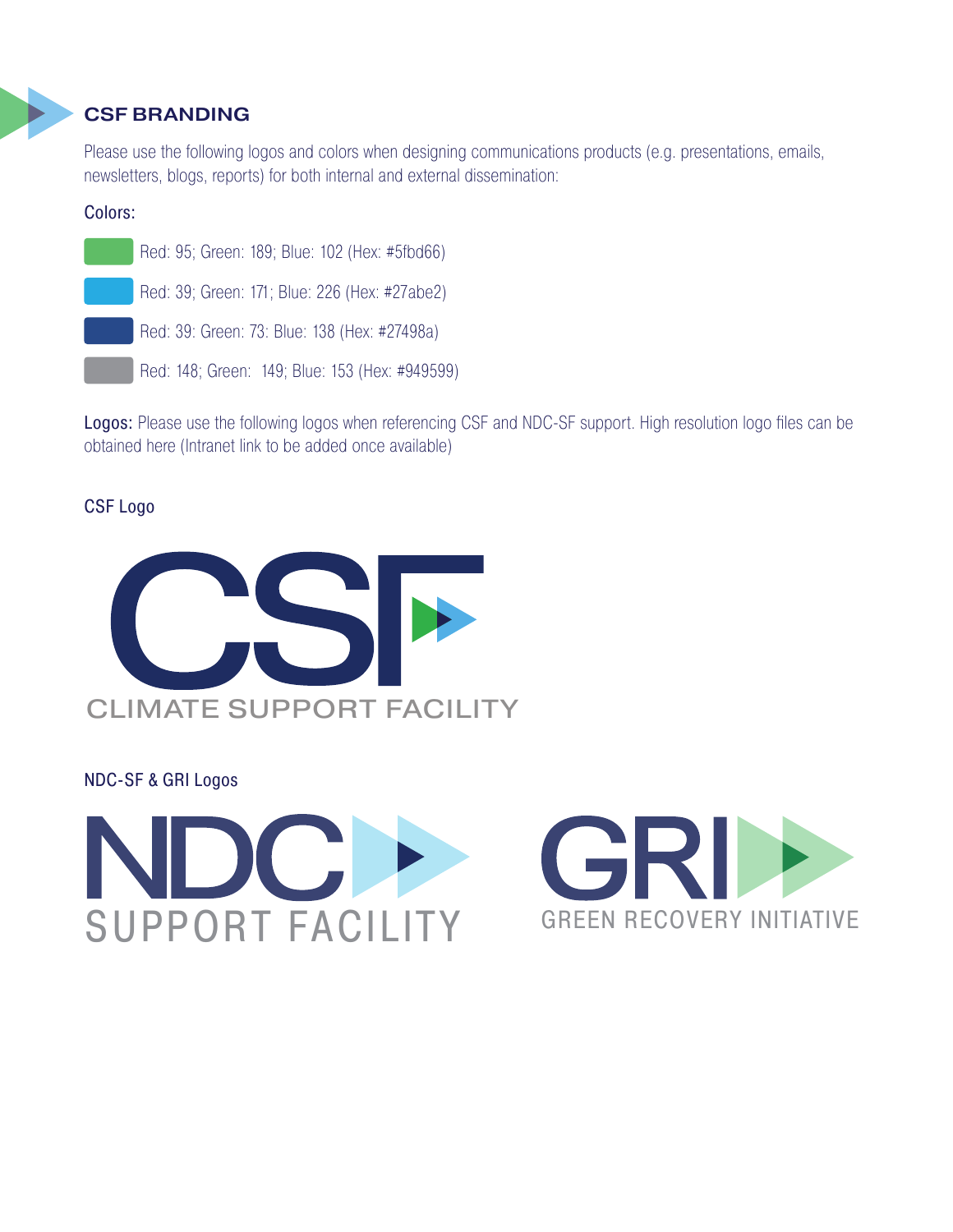## CSF BRANDING

Please use the following logos and colors when designing communications products (e.g. presentations, emails, newsletters, blogs, reports) for both internal and external dissemination:

#### Colors: Color



Logos: Please use the following logos when referencing CSF and NDC-SF support. High resolution logo files can be obtained here (Intranet link to be added once available)

## CSF Logo



NDC-SF & GRI Logos